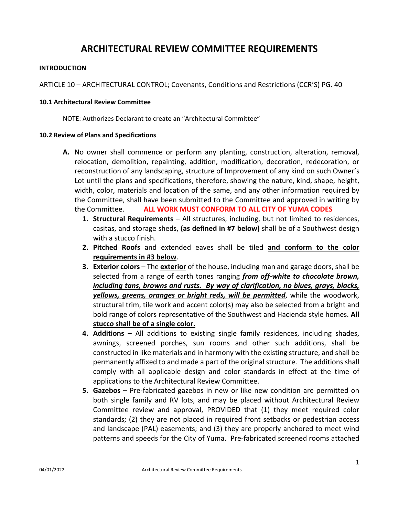# **ARCHITECTURAL REVIEW COMMITTEE REQUIREMENTS**

### **INTRODUCTION**

ARTICLE 10 – ARCHITECTURAL CONTROL; Covenants, Conditions and Restrictions (CCR'S) PG. 40

#### **10.1 Architectural Review Committee**

NOTE: Authorizes Declarant to create an "Architectural Committee"

#### **10.2 Review of Plans and Specifications**

- **A.** No owner shall commence or perform any planting, construction, alteration, removal, relocation, demolition, repainting, addition, modification, decoration, redecoration, or reconstruction of any landscaping, structure of Improvement of any kind on such Owner's Lot until the plans and specifications, therefore, showing the nature, kind, shape, height, width, color, materials and location of the same, and any other information required by the Committee, shall have been submitted to the Committee and approved in writing by the Committee. **ALL WORK MUST CONFORM TO ALL CITY OF YUMA CODES**
	- **1. Structural Requirements** All structures, including, but not limited to residences, casitas, and storage sheds, **(as defined in #7 below)** shall be of a Southwest design with a stucco finish.
	- **2. Pitched Roofs** and extended eaves shall be tiled **and conform to the color requirements in #3 below**.
	- **3. Exterior colors** The **exterior** of the house, including man and garage doors, shall be selected from a range of earth tones ranging *from off‐white to chocolate brown, including tans, browns and rusts. By way of clarification, no blues, grays, blacks, yellows, greens, oranges or bright reds, will be permitted*, while the woodwork, structural trim, tile work and accent color(s) may also be selected from a bright and bold range of colors representative of the Southwest and Hacienda style homes. **All stucco shall be of a single color.**
	- **4. Additions** All additions to existing single family residences, including shades, awnings, screened porches, sun rooms and other such additions, shall be constructed in like materials and in harmony with the existing structure, and shall be permanently affixed to and made a part of the original structure. The additions shall comply with all applicable design and color standards in effect at the time of applications to the Architectural Review Committee.
	- **5. Gazebos** Pre‐fabricated gazebos in new or like new condition are permitted on both single family and RV lots, and may be placed without Architectural Review Committee review and approval, PROVIDED that (1) they meet required color standards; (2) they are not placed in required front setbacks or pedestrian access and landscape (PAL) easements; and (3) they are properly anchored to meet wind patterns and speeds for the City of Yuma. Pre‐fabricated screened rooms attached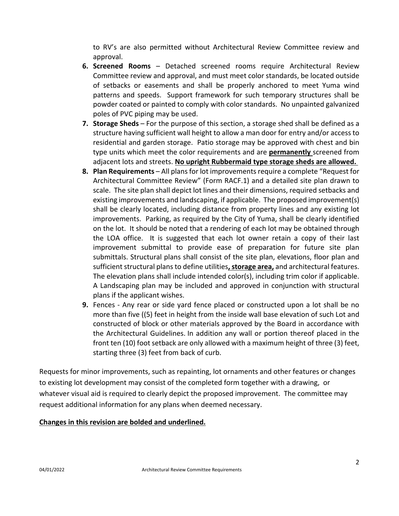to RV's are also permitted without Architectural Review Committee review and approval.

- **6. Screened Rooms** Detached screened rooms require Architectural Review Committee review and approval, and must meet color standards, be located outside of setbacks or easements and shall be properly anchored to meet Yuma wind patterns and speeds. Support framework for such temporary structures shall be powder coated or painted to comply with color standards. No unpainted galvanized poles of PVC piping may be used.
- **7. Storage Sheds** For the purpose of this section, a storage shed shall be defined as a structure having sufficient wall height to allow a man door for entry and/or access to residential and garden storage. Patio storage may be approved with chest and bin type units which meet the color requirements and are **permanently** screened from adjacent lots and streets. **No upright Rubbermaid type storage sheds are allowed.**
- **8. Plan Requirements** All plans for lot improvements require a complete "Request for Architectural Committee Review" (Form RACF.1) and a detailed site plan drawn to scale. The site plan shall depict lot lines and their dimensions, required setbacks and existing improvements and landscaping, if applicable. The proposed improvement(s) shall be clearly located, including distance from property lines and any existing lot improvements. Parking, as required by the City of Yuma, shall be clearly identified on the lot. It should be noted that a rendering of each lot may be obtained through the LOA office. It is suggested that each lot owner retain a copy of their last improvement submittal to provide ease of preparation for future site plan submittals. Structural plans shall consist of the site plan, elevations, floor plan and sufficient structural plansto define utilities**,storage area,** and architectural features. The elevation plans shall include intended color(s), including trim color if applicable. A Landscaping plan may be included and approved in conjunction with structural plans if the applicant wishes.
- **9.** Fences Any rear or side yard fence placed or constructed upon a lot shall be no more than five ((5) feet in height from the inside wall base elevation of such Lot and constructed of block or other materials approved by the Board in accordance with the Architectural Guidelines. In addition any wall or portion thereof placed in the front ten (10) foot setback are only allowed with a maximum height of three (3) feet, starting three (3) feet from back of curb.

Requests for minor improvements, such as repainting, lot ornaments and other features or changes to existing lot development may consist of the completed form together with a drawing, or whatever visual aid is required to clearly depict the proposed improvement. The committee may request additional information for any plans when deemed necessary.

## **Changes in this revision are bolded and underlined.**